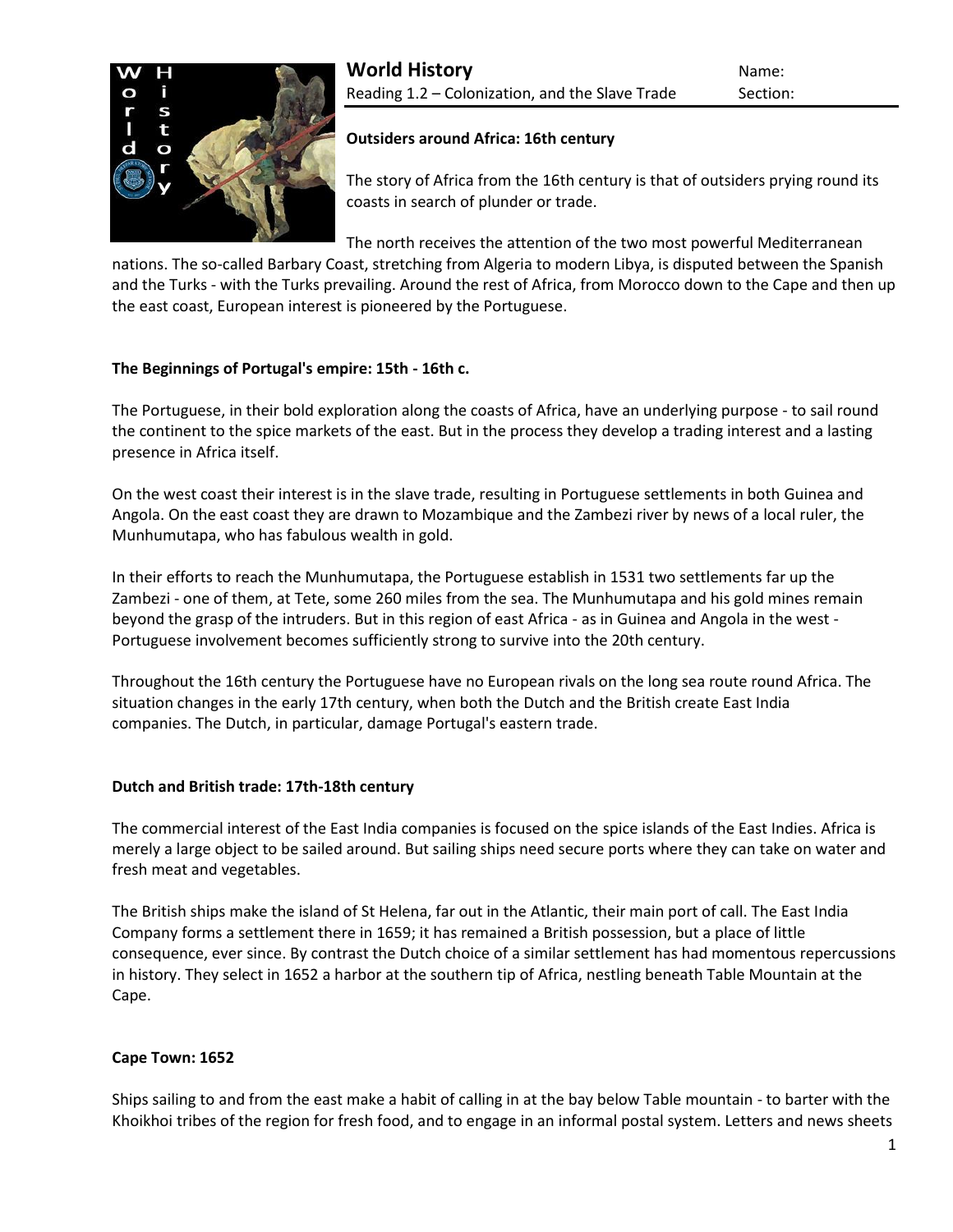

### **Outsiders around Africa: 16th century**

The story of Africa from the 16th century is that of outsiders prying round its coasts in search of plunder or trade.

The north receives the attention of the two most powerful Mediterranean

nations. The so-called [Barbary Coast,](http://www.historyworld.net/wrldhis/PlainTextHistories.asp?gtrack=pthc&ParagraphID=haj#haj) stretching from Algeria to modern Libya, is disputed between the Spanish and the Turks - with the Turks prevailing. Around the rest of Africa, from Morocco down to the Cape and then up the east coast, European interest is pioneered by the Portuguese.

# **The Beginnings of Portugal's empire: 15th - 16th c.**

The Portuguese, in their bold [exploration](http://www.historyworld.net/wrldhis/PlainTextHistories.asp?gtrack=pthc&ParagraphID=gpp#gpp) along the coasts of Africa, have an underlying purpose - to sail round the continent to the spice markets of the east. But in the process they develop a trading interest and a lasting presence in Africa itself.

On the west coast their interest is in the [slave trade,](http://www.historyworld.net/wrldhis/PlainTextHistories.asp?gtrack=pthc&ParagraphID=gpy#gpy) resulting in Portuguese settlements in both [Guinea and](http://www.historyworld.net/wrldhis/PlainTextHistories.asp?gtrack=pthc&ParagraphID=ovw#ovw)  [Angola.](http://www.historyworld.net/wrldhis/PlainTextHistories.asp?gtrack=pthc&ParagraphID=ovw#ovw) On the east coast they are drawn to Mozambique and the Zambezi river by news of a local ruler, the Munhumutapa, who has fabulous wealth in gold.

In their efforts to reach the Munhumutapa, the Portuguese establish in 1531 two settlements far up the Zambezi - one of them, at Tete, some 260 miles from the sea. The Munhumutapa and his gold mines remain beyond the grasp of the intruders. But in this region of east Africa - as in Guinea and Angola in the west - Portuguese involvement becomes sufficiently strong to survive into the 20th century.

Throughout the 16th century the Portuguese have no European rivals on the long sea route round Africa. The situation changes in the early 17th century, when both the Dutch and [the British](http://www.historyworld.net/wrldhis/PlainTextHistories.asp?gtrack=pthc&ParagraphID=hkl#hkl) create East India companies. [The Dutch,](http://www.historyworld.net/wrldhis/PlainTextHistories.asp?gtrack=pthc&ParagraphID=hax#hax) in particular, damage Portugal's eastern trade.

### **Dutch and British trade: 17th-18th century**

The commercial interest of the East India companies is focused on the [spice islands](http://www.historyworld.net/wrldhis/PlainTextHistories.asp?gtrack=pthc&ParagraphID=haw#haw) of the East Indies. Africa is merely a large object to be sailed around. But sailing ships need secure ports where they can take on water and fresh meat and vegetables.

The British ships make the island of St Helena, far out in the Atlantic, their main port of call. The East India Company forms a settlement there in 1659; it has remained a British possession, but a place of little consequence, ever since. By contrast the Dutch choice of a similar settlement has had momentous repercussions in history. They select in 1652 a harbor at the southern tip of Africa, nestling beneath Table Mountain at the Cape.

### **Cape Town: 1652**

Ships sailing to and from the east make a habit of calling in at the bay below Table mountain - to barter with the [Khoikhoi](http://www.historyworld.net/wrldhis/PlainTextHistories.asp?gtrack=pthc&ParagraphID=cbd#cbd) tribes of the region for fresh food, and to engage in an informal postal system. Letters and news sheets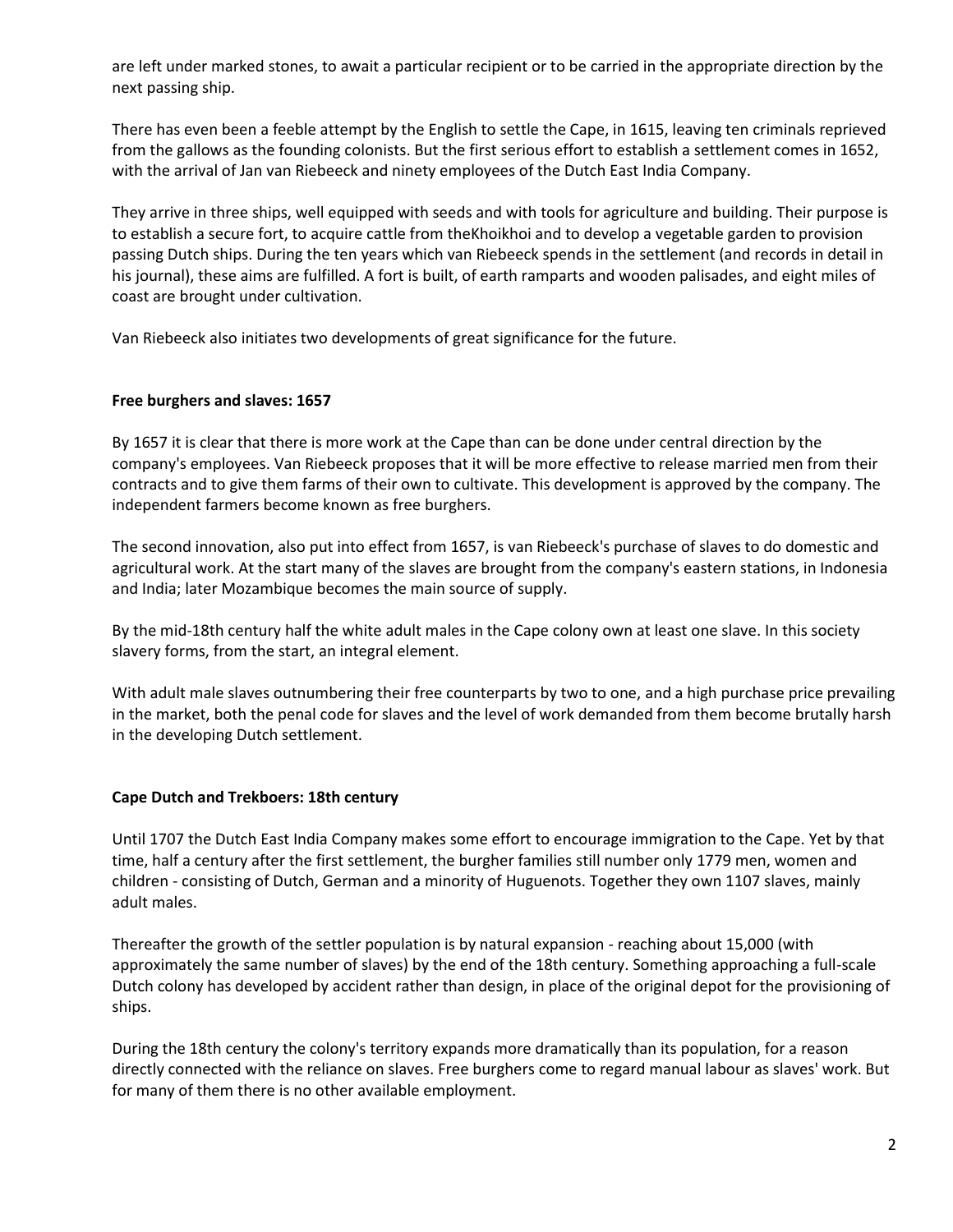are left under marked stones, to await a particular recipient or to be carried in the appropriate direction by the next passing ship.

There has even been a feeble attempt by the English to settle the Cape, in 1615, leaving ten criminals reprieved from the gallows as the founding colonists. But the first serious effort to establish a settlement comes in 1652, with the arrival of Jan van Riebeeck and ninety employees of the Dutch East India Company.

They arrive in three ships, well equipped with seeds and with tools for agriculture and building. Their purpose is to establish a secure fort, to acquire cattle from th[eKhoikhoi](http://www.historyworld.net/wrldhis/PlainTextHistories.asp?gtrack=pthc&ParagraphID=cbd#cbd) and to develop a vegetable garden to provision passing Dutch ships. During the ten years which van Riebeeck spends in the settlement (and records in detail in his journal), these aims are fulfilled. A fort is built, of earth ramparts and wooden palisades, and eight miles of coast are brought under cultivation.

Van Riebeeck also initiates two developments of great significance for the future.

### **Free burghers and slaves: 1657**

By 1657 it is clear that there is more work at the Cape than can be done under central direction by the company's employees. Van Riebeeck proposes that it will be more effective to release married men from their contracts and to give them farms of their own to cultivate. This development is approved by the company. The independent farmers become known as free burghers.

The second innovation, also put into effect from 1657, is van Riebeeck's purchase of slaves to do domestic and agricultural work. At the start many of the slaves are brought from the company's eastern stations, in Indonesia and India; later Mozambique becomes the main source of supply.

By the mid-18th century half the white adult males in the Cape colony own at least one slave. In this society slavery forms, from the start, an integral element.

With adult male slaves outnumbering their free counterparts by two to one, and a high purchase price prevailing in the market, both the penal code for slaves and the level of work demanded from them become brutally harsh in the developing Dutch settlement.

### **Cape Dutch and Trekboers: 18th century**

Until 1707 the Dutch East India Company makes some effort to encourage immigration to the Cape. Yet by that time, half a century after the first settlement, the burgher families still number only 1779 men, women and children - consisting of Dutch, German and a minority of [Huguenots.](http://www.historyworld.net/wrldhis/PlainTextHistories.asp?gtrack=pthc&ParagraphID=ihp#ihp) Together they own 1107 slaves, mainly adult males.

Thereafter the growth of the settler population is by natural expansion - reaching about 15,000 (with approximately the same number of slaves) by the end of the 18th century. Something approaching a full-scale Dutch colony has developed by accident rather than design, in place of the original depot for the provisioning of ships.

During the 18th century the colony's territory expands more dramatically than its population, for a reason directly connected with the reliance on slaves. Free burghers come to regard manual labour as slaves' work. But for many of them there is no other available employment.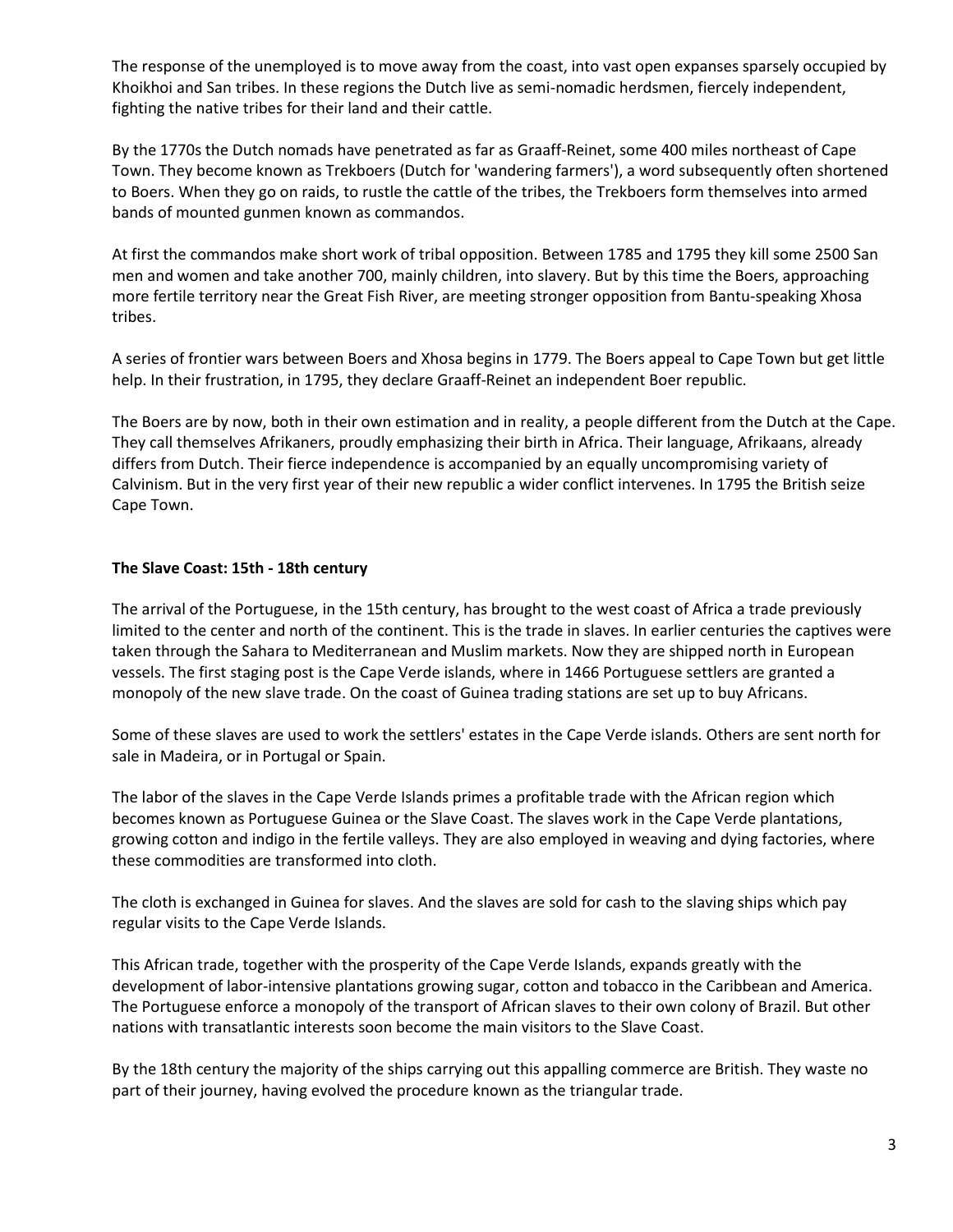The response of the unemployed is to move away from the coast, into vast open expanses sparsely occupied by [Khoikhoi and San](http://www.historyworld.net/wrldhis/PlainTextHistories.asp?gtrack=pthc&ParagraphID=cbd#cbd) tribes. In these regions the Dutch live as semi-nomadic herdsmen, fiercely independent, fighting the native tribes for their land and their cattle.

By the 1770s the Dutch nomads have penetrated as far as Graaff-Reinet, some 400 miles northeast of Cape Town. They become known as Trekboers (Dutch for 'wandering farmers'), a word subsequently often shortened to Boers. When they go on raids, to rustle the cattle of the tribes, the Trekboers form themselves into armed bands of mounted gunmen known as commandos.

At first the commandos make short work of tribal opposition. Between 1785 and 1795 they kill some 2500 San men and women and take another 700, mainly children, into slavery. But by this time the Boers, approaching more fertile territory near the Great Fish River, are meeting stronger opposition from [Bantu-speaking](http://www.historyworld.net/wrldhis/PlainTextHistories.asp?gtrack=pthc&ParagraphID=cbd#cbd) Xhosa tribes.

A series of frontier wars between Boers and Xhosa begins in 1779. The Boers appeal to Cape Town but get little help. In their frustration, in 1795, they declare Graaff-Reinet an independent Boer republic.

The Boers are by now, both in their own estimation and in reality, a people different from the Dutch at the Cape. They call themselves Afrikaners, proudly emphasizing their birth in Africa. Their language, Afrikaans, already differs from Dutch. Their fierce independence is accompanied by an equally uncompromising variety of Calvinism. But in the very first year of their new republic a [wider conflict](http://www.historyworld.net/wrldhis/PlainTextHistories.asp?gtrack=pthc&ParagraphID=mdi#mdi) intervenes. In 1795 the British seize Cape Town.

## **The Slave Coast: 15th - 18th century**

The arrival of the Portuguese, in the 15th century, has brought to the west coast of Africa a trade previously limited to the center and north of the continent. This is the trade in slaves. In earlier centuries the captives were taken through the Sahara to Mediterranean and Muslim markets. Now they are shipped north in European vessels. The first staging post is the Cape Verde islands, where in 1466 Portuguese settlers are granted a monopoly of the new [slave trade.](http://www.historyworld.net/wrldhis/PlainTextHistories.asp?gtrack=pthc&ParagraphID=ewy#ewy) On the coast of Guinea trading stations are set up to buy Africans.

Some of these slaves are used to work the settlers' estates in the Cape Verde islands. Others are sent north for sale in Madeira, or in Portugal or Spain.

The labor of the slaves in the Cape Verde Islands primes a profitable trade with the African region which becomes known as Portuguese Guinea or the Slave Coast. The slaves work in the Cape Verde plantations, growing cotton and indigo in the fertile valleys. They are also employed in weaving and dying factories, where these commodities are transformed into cloth.

The cloth is exchanged in Guinea for slaves. And the slaves are sold for cash to the slaving ships which pay regular visits to the Cape Verde Islands.

This African trade, together with the prosperity of the Cape Verde Islands, expands greatly with the development of labor-intensive plantations growing sugar, cotton and tobacco in the Caribbean and America. The Portuguese enforce a monopoly of the transport of African slaves to their own colony of [Brazil.](http://www.historyworld.net/wrldhis/PlainTextHistories.asp?gtrack=pthc&ParagraphID=hew#hew) But other nations with transatlantic interests soon become the main visitors to the Slave Coast.

By the 18th century the majority of the ships carrying out this appalling commerce are British. They waste no part of their journey, having evolved the procedure known as the [triangular trade.](http://www.historyworld.net/wrldhis/PlainTextHistories.asp?gtrack=pthc&ParagraphID=kao#kao)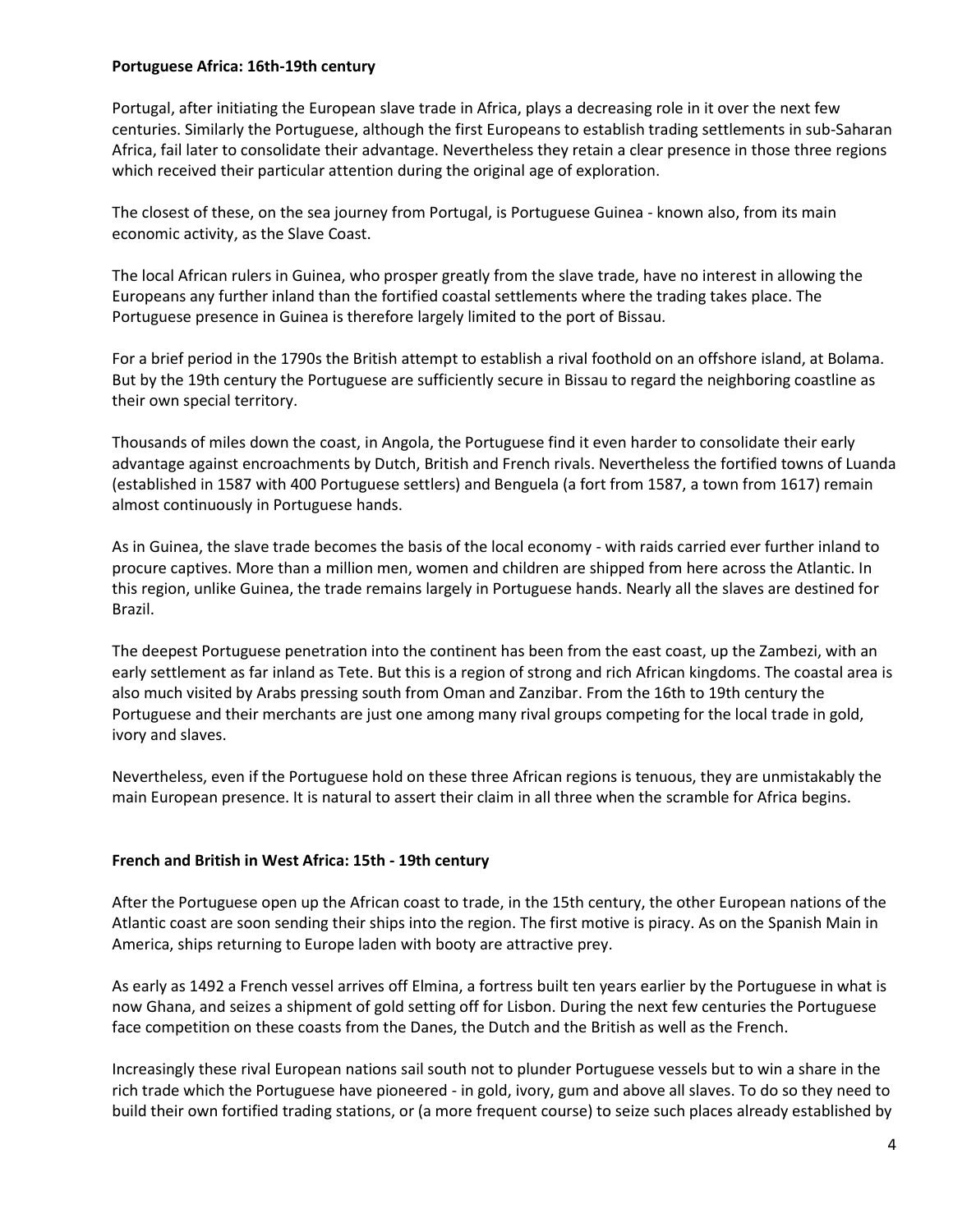#### **Portuguese Africa: 16th-19th century**

Portugal, after initiating the European [slave trade](http://www.historyworld.net/wrldhis/PlainTextHistories.asp?gtrack=pthc&ParagraphID=gpra#gpra) in Africa, plays a decreasing role in it over the next few centuries. Similarly the Portuguese, although the first Europeans to establish trading settlements in sub-Saharan Africa, fail later to consolidate their advantage. Nevertheless they retain a clear presence in those three regions which received their particular attention during the original age of exploration.

The closest of these, on the sea journey from Portugal, is Portuguese Guinea - known also, from its main economic activity, as the [Slave Coast.](http://www.historyworld.net/wrldhis/PlainTextHistories.asp?gtrack=pthc&ParagraphID=gprb#gprb)

The local African rulers in Guinea, who prosper greatly from the slave trade, have no interest in allowing the Europeans any further inland than the fortified coastal settlements where the trading takes place. The Portuguese presence in Guinea is therefore largely limited to the port of Bissau.

For a brief period in the 1790s the British attempt to establish a rival foothold on an offshore island, at Bolama. But by the 19th century the Portuguese are sufficiently secure in Bissau to regard the neighboring coastline as their own special territory.

Thousands of miles down the coast, in Angola, the Portuguese find it even harder to consolidate their early advantage against encroachments by Dutch, British and French rivals. Nevertheless the fortified towns of Luanda (established in 1587 with 400 Portuguese settlers) and Benguela (a fort from 1587, a town from 1617) remain almost continuously in Portuguese hands.

As in [Guinea,](http://www.historyworld.net/wrldhis/PlainTextHistories.asp?gtrack=pthc&ParagraphID=oxa#oxa) the slave trade becomes the basis of the local economy - with raids carried ever further inland to procure captives. More than a million men, women and children are shipped from here across the Atlantic. In this region, unlike Guinea, the trade remains largely in Portuguese hands. Nearly all the slaves are destined for [Brazil.](http://www.historyworld.net/wrldhis/PlainTextHistories.asp?gtrack=pthc&ParagraphID=nwe#nwe)

The deepest Portuguese penetration into the continent has been from the east coast, up the Zambezi, with an early settlement as far inland as [Tete.](http://www.historyworld.net/wrldhis/PlainTextHistories.asp?gtrack=pthc&ParagraphID=hba#hba) But this is a region of strong and rich African kingdoms. The coastal area is also much visited by Arabs pressing south from [Oman and Zanzibar.](http://www.historyworld.net/wrldhis/PlainTextHistories.asp?gtrack=pthc&ParagraphID=pgc#pgc) From the 16th to 19th century the Portuguese and their merchants are just one among many rival groups competing for the local trade in gold, ivory and slaves.

Nevertheless, even if the Portuguese hold on these three African regions is tenuous, they are unmistakably the main European presence. It is natural to assert their claim in all three when the [scramble for Africa](http://www.historyworld.net/wrldhis/PlainTextHistories.asp?gtrack=pthc&ParagraphID=oqm#oqm) begins.

### **French and British in West Africa: 15th - 19th century**

After the Portuguese open up the African coast to trade, in the 15th century, the other European nations of the Atlantic coast are soon sending their ships into the region. The first motive is piracy. As on the [Spanish Main](http://www.historyworld.net/wrldhis/PlainTextHistories.asp?gtrack=pthc&ParagraphID=hei#hei) in America, ships returning to Europe laden with booty are attractive prey.

As early as 1492 a French vessel arrives off [Elmina,](http://www.historyworld.net/wrldhis/PlainTextHistories.asp?gtrack=pthc&ParagraphID=plg#plg) a fortress built ten years earlier by the Portuguese in what is now Ghana, and seizes a shipment of gold setting off for Lisbon. During the next few centuries the Portuguese face competition on these coasts from the Danes, the Dutch and the British as well as the French.

Increasingly these rival European nations sail south not to plunder Portuguese vessels but to win a share in the rich trade which the Portuguese have pioneered - in gold, ivory, gum and above all slaves. To do so they need to build their own fortified trading stations, or (a more frequent course) to seize such places already established by